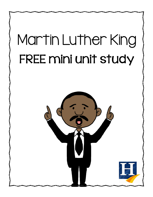## Martin Luther King FREE mini unit study

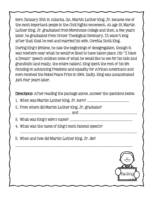Born January 15th in Atlanta, GA, Martin Luther King, Jr. became one of the most important people in the Civil Rights movement. At age 19, Martin Luther King, Jr. graduated from Morehouse College and then, a few years later, he graduated from Crozer Theological Seminary. It wasn't long after that that he met and married his wife, Coretta Scott King.

During King's lifetime, he saw the beginnings of desegregation, though it was nowhere near what he would've liked to have taken place. His "I Have a Dream" speech outlines some of what he would like to see for his kids and grandkids (and really, the entire nation). King spent the rest of his life focusing on advancing freedoms and equality for African-Americans and even received the Nobel Peace Prize in 1964. Sadly, King was assassinated just four years later.

Directions: After reading the passage above, answer the questions below.

|--|--|--|--|--|

2. From where did Martin Luther King, Jr. graduate?

 $and$ 

3. What was King's wife's name? \_\_\_\_\_\_\_\_\_\_\_\_\_\_\_\_\_\_\_\_\_\_\_\_\_\_\_\_\_\_\_\_\_\_\_\_\_\_\_\_\_\_\_\_\_\_\_\_\_\_\_\_\_\_\_\_\_\_\_\_\_\_\_\_

\_\_\_\_\_\_\_\_\_\_\_\_\_\_\_\_\_\_\_\_\_\_\_\_\_\_\_\_\_\_\_\_\_\_\_\_\_\_\_\_\_\_\_\_\_\_\_\_\_\_\_\_\_\_\_\_\_\_\_\_\_\_\_\_\_\_\_\_\_\_\_\_\_\_\_\_\_\_\_\_\_\_\_\_\_\_\_\_\_\_\_\_\_\_\_\_\_\_\_\_\_\_\_\_\_\_\_\_\_\_\_\_\_\_\_\_\_\_\_

\_\_\_\_\_\_\_\_\_\_\_\_\_\_\_\_\_\_\_\_\_\_\_\_\_\_\_\_\_\_\_\_\_\_\_\_\_\_\_\_\_\_\_\_\_\_\_\_\_\_\_\_\_\_\_\_\_\_\_\_\_\_\_\_\_\_\_\_\_\_\_\_\_\_\_\_\_\_\_\_\_\_\_\_\_\_\_\_\_\_\_\_\_\_\_\_\_\_\_\_\_\_\_\_\_\_\_\_\_\_\_\_\_\_\_\_\_\_\_

- 4. What was the name of King's most famous speech?
- 5. When and how did Martin Luther King, Jr. die?